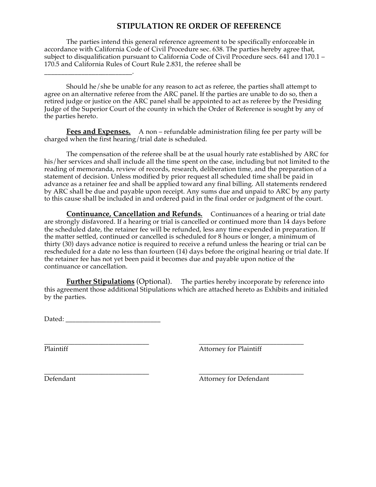## **STIPULATION RE ORDER OF REFERENCE**

The parties intend this general reference agreement to be specifically enforceable in accordance with California Code of Civil Procedure sec. 638. The parties hereby agree that, subject to disqualification pursuant to California Code of Civil Procedure secs. 641 and 170.1 – 170.5 and California Rules of Court Rule 2.831, the referee shall be

Should he/she be unable for any reason to act as referee, the parties shall attempt to agree on an alternative referee from the ARC panel. If the parties are unable to do so, then a retired judge or justice on the ARC panel shall be appointed to act as referee by the Presiding Judge of the Superior Court of the county in which the Order of Reference is sought by any of the parties hereto.

**Fees and Expenses.** A non – refundable administration filing fee per party will be charged when the first hearing/trial date is scheduled.

The compensation of the referee shall be at the usual hourly rate established by ARC for his/her services and shall include all the time spent on the case, including but not limited to the reading of memoranda, review of records, research, deliberation time, and the preparation of a statement of decision. Unless modified by prior request all scheduled time shall be paid in advance as a retainer fee and shall be applied toward any final billing. All statements rendered by ARC shall be due and payable upon receipt. Any sums due and unpaid to ARC by any party to this cause shall be included in and ordered paid in the final order or judgment of the court.

**Continuance, Cancellation and Refunds.** Continuances of a hearing or trial date are strongly disfavored. If a hearing or trial is cancelled or continued more than 14 days before the scheduled date, the retainer fee will be refunded, less any time expended in preparation. If the matter settled, continued or cancelled is scheduled for 8 hours or longer, a minimum of thirty (30) days advance notice is required to receive a refund unless the hearing or trial can be rescheduled for a date no less than fourteen (14) days before the original hearing or trial date. If the retainer fee has not yet been paid it becomes due and payable upon notice of the continuance or cancellation.

**Further Stipulations** (Optional). The parties hereby incorporate by reference into this agreement those additional Stipulations which are attached hereto as Exhibits and initialed by the parties.

Dated: *Date of Lemma* 

\_\_\_\_\_\_\_\_\_\_\_\_\_\_\_\_\_\_\_\_\_\_\_\_\_\_.

**\_\_\_\_\_\_\_\_\_\_\_\_\_\_\_\_\_\_\_\_\_\_\_\_\_\_\_\_\_\_\_ \_\_\_\_\_\_\_\_\_\_\_\_\_\_\_\_\_\_\_\_\_\_\_\_\_\_\_\_\_\_\_** Plaintiff Attorney for Plaintiff

**\_\_\_\_\_\_\_\_\_\_\_\_\_\_\_\_\_\_\_\_\_\_\_\_\_\_\_\_\_\_\_ \_\_\_\_\_\_\_\_\_\_\_\_\_\_\_\_\_\_\_\_\_\_\_\_\_\_\_\_\_\_\_** Defendant Attorney for Defendant